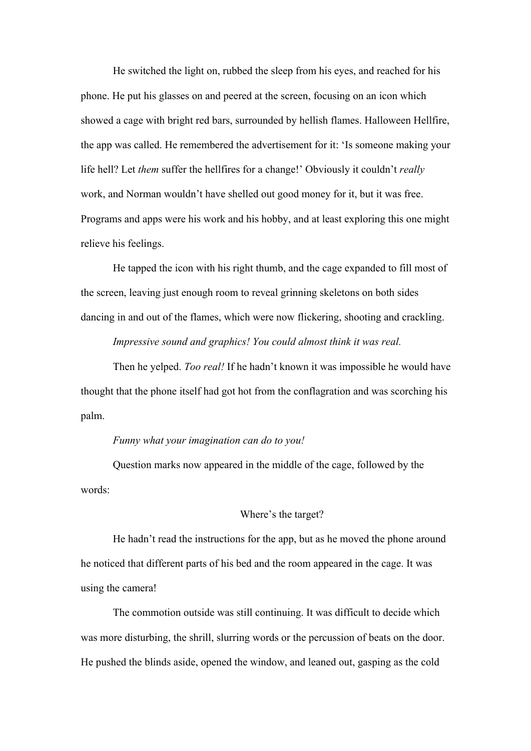He switched the light on, rubbed the sleep from his eyes, and reached for his phone. He put his glasses on and peered at the screen, focusing on an icon which showed a cage with bright red bars, surrounded by hellish flames. Halloween Hellfire, the app was called. He remembered the advertisement for it: 'Is someone making your life hell? Let *them* suffer the hellfires for a change!' Obviously it couldn't *really* work, and Norman wouldn't have shelled out good money for it, but it was free. Programs and apps were his work and his hobby, and at least exploring this one might relieve his feelings.

He tapped the icon with his right thumb, and the cage expanded to fill most of the screen, leaving just enough room to reveal grinning skeletons on both sides dancing in and out of the flames, which were now flickering, shooting and crackling.

*Impressive sound and graphics! You could almost think it was real.*

Then he yelped. *Too real!* If he hadn't known it was impossible he would have thought that the phone itself had got hot from the conflagration and was scorching his palm.

## *Funny what your imagination can do to you!*

Question marks now appeared in the middle of the cage, followed by the words:

## Where's the target?

He hadn't read the instructions for the app, but as he moved the phone around he noticed that different parts of his bed and the room appeared in the cage. It was using the camera!

The commotion outside was still continuing. It was difficult to decide which was more disturbing, the shrill, slurring words or the percussion of beats on the door. He pushed the blinds aside, opened the window, and leaned out, gasping as the cold